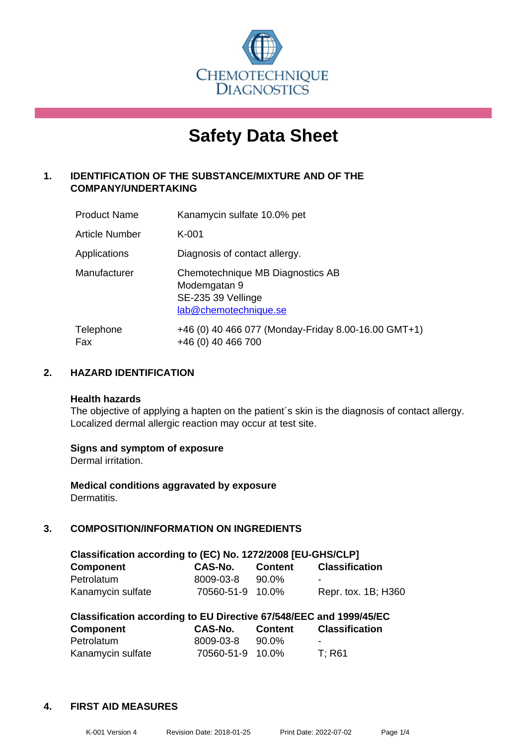

# **Safety Data Sheet**

# **1. IDENTIFICATION OF THE SUBSTANCE/MIXTURE AND OF THE COMPANY/UNDERTAKING**

| <b>Product Name</b> | Kanamycin sulfate 10.0% pet                                                                     |
|---------------------|-------------------------------------------------------------------------------------------------|
| Article Number      | $K-001$                                                                                         |
| Applications        | Diagnosis of contact allergy.                                                                   |
| Manufacturer        | Chemotechnique MB Diagnostics AB<br>Modemgatan 9<br>SE-235 39 Vellinge<br>lab@chemotechnique.se |
| Telephone<br>Fax    | +46 (0) 40 466 077 (Monday-Friday 8.00-16.00 GMT+1)<br>+46 (0) 40 466 700                       |

# **2. HAZARD IDENTIFICATION**

#### **Health hazards**

The objective of applying a hapten on the patient's skin is the diagnosis of contact allergy. Localized dermal allergic reaction may occur at test site.

#### **Signs and symptom of exposure**

Dermal irritation.

**Medical conditions aggravated by exposure** Dermatitis.

# **3. COMPOSITION/INFORMATION ON INGREDIENTS**

| Classification according to (EC) No. 1272/2008 [EU-GHS/CLP] |                  |                |                       |  |
|-------------------------------------------------------------|------------------|----------------|-----------------------|--|
| <b>Component</b>                                            | <b>CAS-No.</b>   | <b>Content</b> | <b>Classification</b> |  |
| Petrolatum                                                  | 8009-03-8        | 90.0%          | $\blacksquare$        |  |
| Kanamycin sulfate                                           | 70560-51-9 10.0% |                | Repr. tox. 1B; H360   |  |

| Classification according to EU Directive 67/548/EEC and 1999/45/EC |                  |                |                       |  |
|--------------------------------------------------------------------|------------------|----------------|-----------------------|--|
| Component                                                          | <b>CAS-No.</b>   | <b>Content</b> | <b>Classification</b> |  |
| Petrolatum                                                         | 8009-03-8        | 90.0%          | -                     |  |
| Kanamycin sulfate                                                  | 70560-51-9 10.0% |                | T: R61                |  |

#### **4. FIRST AID MEASURES**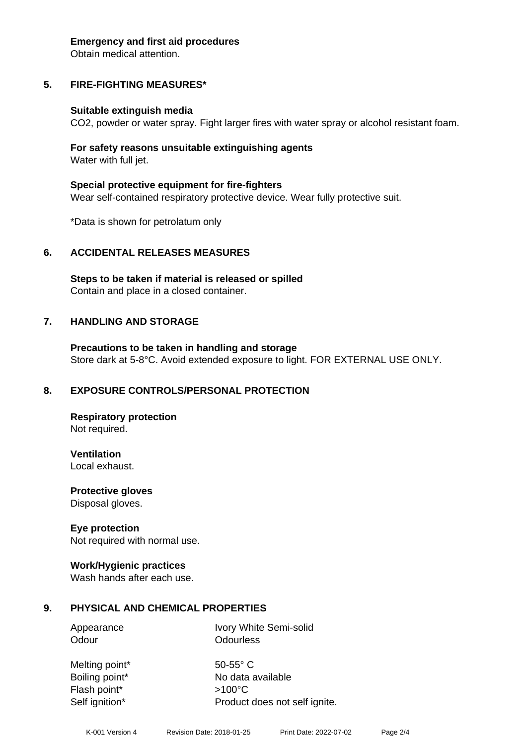#### **Emergency and first aid procedures**

Obtain medical attention.

# **5. FIRE-FIGHTING MEASURES\***

#### **Suitable extinguish media**

CO2, powder or water spray. Fight larger fires with water spray or alcohol resistant foam.

#### **For safety reasons unsuitable extinguishing agents** Water with full jet.

**Special protective equipment for fire-fighters** Wear self-contained respiratory protective device. Wear fully protective suit.

\*Data is shown for petrolatum only

#### **6. ACCIDENTAL RELEASES MEASURES**

**Steps to be taken if material is released or spilled** Contain and place in a closed container.

#### **7. HANDLING AND STORAGE**

**Precautions to be taken in handling and storage** Store dark at 5-8°C. Avoid extended exposure to light. FOR EXTERNAL USE ONLY.

#### **8. EXPOSURE CONTROLS/PERSONAL PROTECTION**

**Respiratory protection** Not required.

**Ventilation**

Local exhaust.

**Protective gloves** Disposal gloves.

#### **Eye protection**

Not required with normal use.

#### **Work/Hygienic practices**

Wash hands after each use.

#### **9. PHYSICAL AND CHEMICAL PROPERTIES**

Appearance Ivory White Semi-solid Odour **Odourless** 

Melting point\* 50-55° C Flash point\* >100°C Self ignition\* Product does not self ignite.

Boiling point\* No data available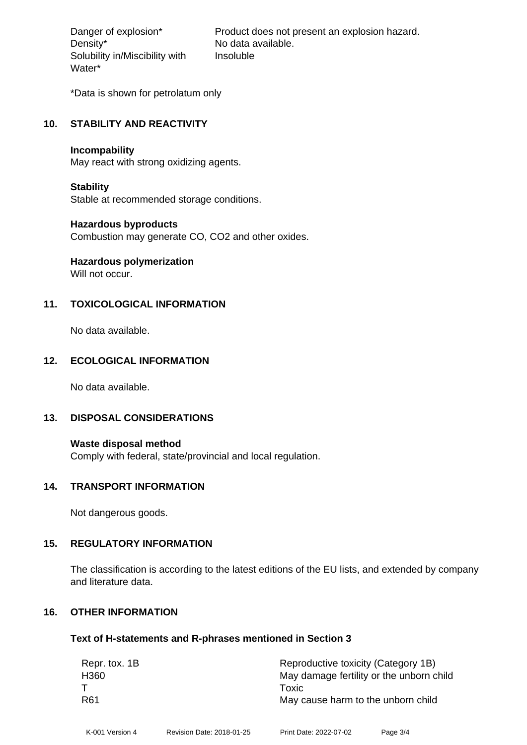Density\* No data available. Solubility in/Miscibility with Water\*

Danger of explosion\* Product does not present an explosion hazard. Insoluble

\*Data is shown for petrolatum only

#### **10. STABILITY AND REACTIVITY**

#### **Incompability**

May react with strong oxidizing agents.

#### **Stability**

Stable at recommended storage conditions.

#### **Hazardous byproducts**

Combustion may generate CO, CO2 and other oxides.

# **Hazardous polymerization**

Will not occur.

# **11. TOXICOLOGICAL INFORMATION**

No data available.

#### **12. ECOLOGICAL INFORMATION**

No data available.

#### **13. DISPOSAL CONSIDERATIONS**

**Waste disposal method** Comply with federal, state/provincial and local regulation.

#### **14. TRANSPORT INFORMATION**

Not dangerous goods.

#### **15. REGULATORY INFORMATION**

The classification is according to the latest editions of the EU lists, and extended by company and literature data.

#### **16. OTHER INFORMATION**

#### **Text of H-statements and R-phrases mentioned in Section 3**

| Repr. tox. 1B   | Reproductive toxicity (Category 1B)      |
|-----------------|------------------------------------------|
| H360            | May damage fertility or the unborn child |
|                 | Toxic                                    |
| R <sub>61</sub> | May cause harm to the unborn child       |
|                 |                                          |